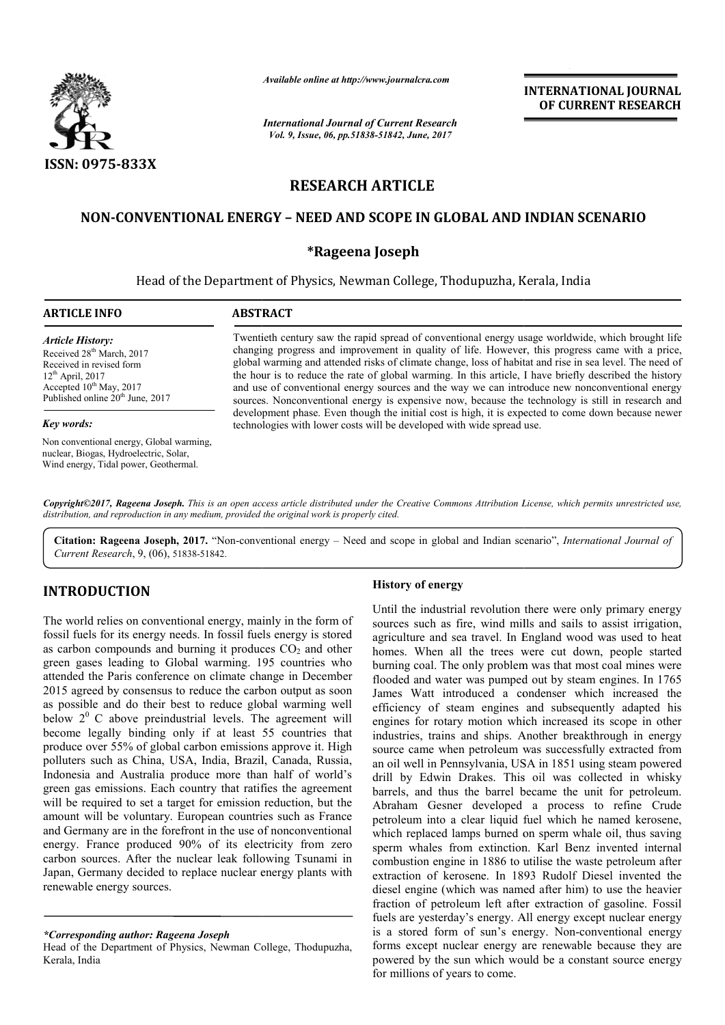

*Available online at http://www.journalcra.com*

*International Journal of Current Research Vol. 9, Issue, 06, pp.51838-51842, June, 2017*

**INTERNATIONAL JOURNAL OF CURRENT RESEARCH** 

# **RESEARCH ARTICLE**

# **NON-CONVENTIONAL ENERGY CONVENTIONAL – NEED AND SCOPE IN GLOBAL AND INDIAN SCENARIO**

## **\*Rageena Joseph**

## Head of the Department of Physics, Newman College, Thodupuzha, Kerala, India

# **ARTICLE INFO ABSTRACT** *Article History:* Received 28<sup>th</sup> March, 2017 Received in revised form  $12<sup>th</sup>$  April, 2017 Accepted 10<sup>th</sup> May, 2017 Published online 20<sup>th</sup> June, 2017

#### *Key words:*

Non conventional energy, Global warming, nuclear, Biogas, Hydroelectric, Solar, Wind energy, Tidal power, Geothermal.

Twentieth century saw the rapid spread of conventional energy usage worldwide, which brought life changing progress and improvement in quality of life. However, this progress came with a price, global warming and attended risks of climate change, loss of habitat and rise in sea level. The need of the hour is to reduce the rate of global warming. In this article, I have briefly described the history and use of conventional energy sources and the way we can introduce new nonconventional energy sources. Nonconventional energy is expensive now, because the technology is still in research and development phase. Even though the initial cost is high, it is expected to come down because newer technologies with lower costs will be developed with wide spread use. technologies with lower costs will be developed with wide spread use. changing progress and improvement in quality of life. However, this progress came with a price, global warming and attended risks of climate change, loss of habitat and rise in sea level. The need of the hour is to reduce

*Copyright©2017, Rageena Joseph. This is an open access article distributed under the Creative Commons Attribution License, which ribution License, permits unrestricted use, distribution, and reproduction in any medium, provided the original work is properly cited.*

Citation: Rageena Joseph, 2017. "Non-conventional energy – Need and scope in global and Indian scenario", *International Journal of Current Research*, 9, (06), 51838-51842.

# **INTRODUCTION**

The world relies on conventional energy, mainly in the form of fossil fuels for its energy needs. In fossil fuels energy is stored as carbon compounds and burning it produces  $CO<sub>2</sub>$  and other green gases leading to Global warming. 195 countries who attended the Paris conference on climate change in December 2015 agreed by consensus to reduce the carbon output as soon as possible and do their best to reduce global warming well below  $2^0$  C above preindustrial levels. The agreement will become legally binding only if at least 55 countries that produce over 55% of global carbon emissions approve it. High polluters such as China, USA, India, Brazil, Canada, Russia, Indonesia and Australia produce more than half of world's green gas emissions. Each country that ratifies the agreement will be required to set a target for emission reduction, but the amount will be voluntary. European countries such as France and Germany are in the forefront in the use of nonconventional energy. France produced 90% of its electricity from zero carbon sources. After the nuclear leak following Tsunami in Japan, Germany decided to replace nuclear energy plants with renewable energy sources. educe the carbon output as soon<br>to reduce global warming well<br>ial levels. The agreement will<br>i if at least 55 countries that<br>trbon emissions approve it. High **TION**<br> **History of energy**<br>
Until the industria<br>
its energy needs. In fossil fuels energy is stored<br>
pounds and burning it produces CO<sub>2</sub> and other<br>
homes. When all<br>
ading to Global warming. 195 countries who burning coal

Until the industrial revolution there were only primary energy sources such as fire, wind mills and sails to assist irrigation, agriculture and sea travel. In England wood was used to heat homes. When all the trees were cut down, people started burning coal. The only problem was that most coal min flooded and water was pumped out by steam engines. In 1765 James Watt introduced a condenser which increased the efficiency of steam engines and subsequently adapted his engines for rotary motion which increased its scope in other industries, trains and ships. Another breakthrough in energy source came when petroleum was successfully extracted from an oil well in Pennsylvania, USA in 1851 using steam powered drill by Edwin Drakes. This oil was collected in whisky barrels, and thus the barrel became the unit for petroleum. Abraham Gesner developed a process to refine Crude petroleum into a clear liquid fuel which he named kerosene, which replaced lamps burned on sperm whale oil, thus saving sperm whales from extinction. Karl Benz invented internal combustion engine in 1886 to utilise the waste petroleum after extraction of kerosene. In 1893 Rudolf Diesel invented the diesel engine (which was named after him) to use the heavier diesel engine (which was named after him) to use the heavier fraction of petroleum left after extraction of gasoline. Fossil fuels are yesterday's energy. All energy except nuclear energy fuels are yesterday's energy. All energy except nuclear energy is a stored form of sun's energy. Non-conventional energy forms except nuclear energy are renewable because they are powered by the sun which would be a constant source energy for millions of years to come. such as fire, wind mills and sails to assist irrigation, <br>ire and sea travel. In England wood was used to heat<br>When all the trees were cut down, people started<br>coal. The only problem was that most coal mines were James Watt introduced a condenser which increased the efficiency of steam engines and subsequently adapted his engines for rotary motion which increased its scope in other industries, trains and ships. Another breakthrough ch replaced lamps burned on sperm whale oil, thus saving<br>m whales from extinction. Karl Benz invented internal<br>bustion engine in 1886 to utilise the waste petroleum after<br>action of kerosene. In 1893 Rudolf Diesel invented **INTERNATIONAL JOURNAL**<br> **OF CURRENT RESEARCH**<br> **OF CURRENT RESEARCH**<br> **CONDINAL SCENARIO**<br> **EXECUTE AND SCENARIO**<br> **EXECUTE AND SCENARIO**<br> **EXECUTE TO THE TOTAL CONDINAL AND SCENARIO**<br> **EXECUTE TO THE AND SCENARIO**<br> **COND** 

*<sup>\*</sup>Corresponding author: Rageena Joseph*

Head of the Department of Physics, Newman College, Thodupuzha, Kerala, India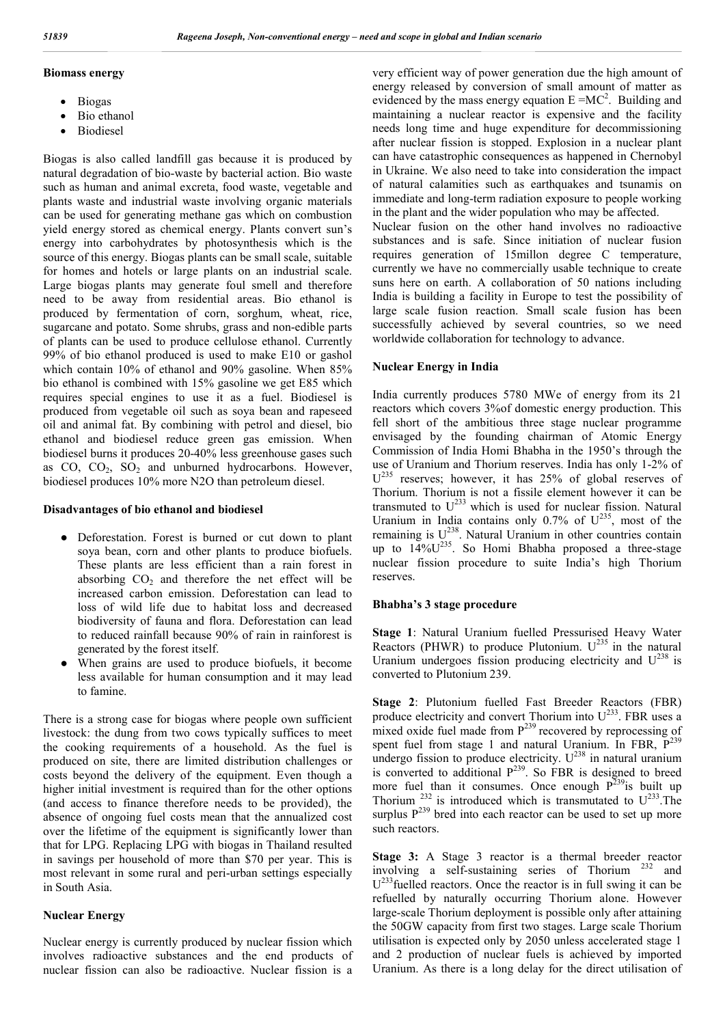#### **Biomass energy**

- Biogas
- Bio ethanol
- Biodiesel

Biogas is also called landfill gas because it is produced by natural degradation of bio-waste by bacterial action. Bio waste such as human and animal excreta, food waste, vegetable and plants waste and industrial waste involving organic materials can be used for generating methane gas which on combustion yield energy stored as chemical energy. Plants convert sun's energy into carbohydrates by photosynthesis which is the source of this energy. Biogas plants can be small scale, suitable for homes and hotels or large plants on an industrial scale. Large biogas plants may generate foul smell and therefore need to be away from residential areas. Bio ethanol is produced by fermentation of corn, sorghum, wheat, rice, sugarcane and potato. Some shrubs, grass and non-edible parts of plants can be used to produce cellulose ethanol. Currently 99% of bio ethanol produced is used to make E10 or gashol which contain 10% of ethanol and 90% gasoline. When 85% bio ethanol is combined with 15% gasoline we get E85 which requires special engines to use it as a fuel. Biodiesel is produced from vegetable oil such as soya bean and rapeseed oil and animal fat. By combining with petrol and diesel, bio ethanol and biodiesel reduce green gas emission. When biodiesel burns it produces 20-40% less greenhouse gases such as  $CO$ ,  $CO<sub>2</sub>$ ,  $SO<sub>2</sub>$  and unburned hydrocarbons. However, biodiesel produces 10% more N2O than petroleum diesel.

### **Disadvantages of bio ethanol and biodiesel**

- Deforestation. Forest is burned or cut down to plant soya bean, corn and other plants to produce biofuels. These plants are less efficient than a rain forest in absorbing  $CO<sub>2</sub>$  and therefore the net effect will be increased carbon emission. Deforestation can lead to loss of wild life due to habitat loss and decreased biodiversity of fauna and flora. Deforestation can lead to reduced rainfall because 90% of rain in rainforest is generated by the forest itself.
- When grains are used to produce biofuels, it become less available for human consumption and it may lead to famine.

There is a strong case for biogas where people own sufficient livestock: the dung from two cows typically suffices to meet the cooking requirements of a household. As the fuel is produced on site, there are limited distribution challenges or costs beyond the delivery of the equipment. Even though a higher initial investment is required than for the other options (and access to finance therefore needs to be provided), the absence of ongoing fuel costs mean that the annualized cost over the lifetime of the equipment is significantly lower than that for LPG. Replacing LPG with biogas in Thailand resulted in savings per household of more than \$70 per year. This is most relevant in some rural and peri-urban settings especially in South Asia.

## **Nuclear Energy**

Nuclear energy is currently produced by nuclear fission which involves radioactive substances and the end products of nuclear fission can also be radioactive. Nuclear fission is a

very efficient way of power generation due the high amount of energy released by conversion of small amount of matter as evidenced by the mass energy equation  $E = MC^2$ . Building and maintaining a nuclear reactor is expensive and the facility needs long time and huge expenditure for decommissioning after nuclear fission is stopped. Explosion in a nuclear plant can have catastrophic consequences as happened in Chernobyl in Ukraine. We also need to take into consideration the impact of natural calamities such as earthquakes and tsunamis on immediate and long-term radiation exposure to people working in the plant and the wider population who may be affected. Nuclear fusion on the other hand involves no radioactive

substances and is safe. Since initiation of nuclear fusion requires generation of 15millon degree C temperature, currently we have no commercially usable technique to create suns here on earth. A collaboration of 50 nations including India is building a facility in Europe to test the possibility of large scale fusion reaction. Small scale fusion has been successfully achieved by several countries, so we need worldwide collaboration for technology to advance.

### **Nuclear Energy in India**

India currently produces 5780 MWe of energy from its 21 reactors which covers 3%of domestic energy production. This fell short of the ambitious three stage nuclear programme envisaged by the founding chairman of Atomic Energy Commission of India Homi Bhabha in the 1950's through the use of Uranium and Thorium reserves. India has only 1-2% of U<sup>235</sup> reserves; however, it has 25% of global reserves of Thorium. Thorium is not a fissile element however it can be transmuted to  $U^{233}$  which is used for nuclear fission. Natural Uranium in India contains only  $0.7\%$  of  $U^{235}$ , most of the remaining is  $U^{238}$ . Natural Uranium in other countries contain up to  $14\%$ U<sup>235</sup>. So Homi Bhabha proposed a three-stage nuclear fission procedure to suite India's high Thorium reserves.

#### **Bhabha's 3 stage procedure**

**Stage 1**: Natural Uranium fuelled Pressurised Heavy Water Reactors (PHWR) to produce Plutonium.  $U^{235}$  in the natural Uranium undergoes fission producing electricity and  $U^{238}$  is converted to Plutonium 239.

**Stage 2**: Plutonium fuelled Fast Breeder Reactors (FBR) produce electricity and convert Thorium into  $U^{233}$ . FBR uses a mixed oxide fuel made from  $P^{239}$  recovered by reprocessing of spent fuel from stage 1 and natural Uranium. In FBR,  $P^{239}$ undergo fission to produce electricity.  $U^{238}$  in natural uranium is converted to additional  $P^{239}$ . So FBR is designed to breed more fuel than it consumes. Once enough  $P^{239}$  is built up Thorium  $^{232}$  is introduced which is transmutated to  $U^{233}$ . The surplus  $P^{239}$  bred into each reactor can be used to set up more such reactors.

**Stage 3:** A Stage 3 reactor is a thermal breeder reactor involving a self-sustaining series of Thorium <sup>232</sup> and  $U^{233}$ fuelled reactors. Once the reactor is in full swing it can be refuelled by naturally occurring Thorium alone. However large-scale Thorium deployment is possible only after attaining the 50GW capacity from first two stages. Large scale Thorium utilisation is expected only by 2050 unless accelerated stage 1 and 2 production of nuclear fuels is achieved by imported Uranium. As there is a long delay for the direct utilisation of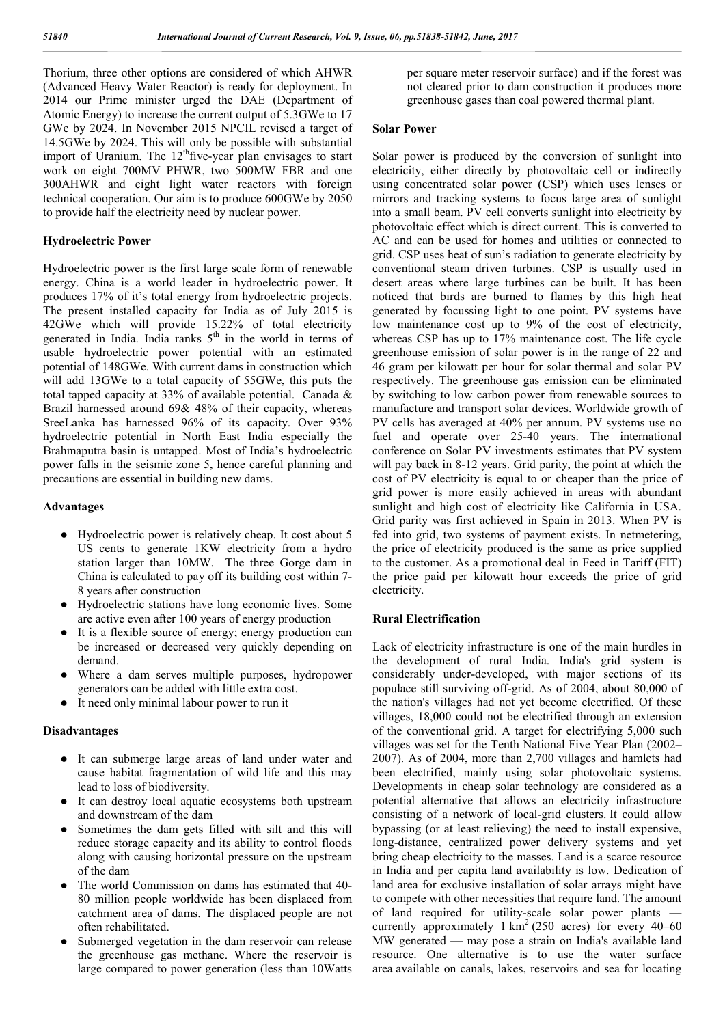Thorium, three other options are considered of which AHWR (Advanced Heavy Water Reactor) is ready for deployment. In 2014 our Prime minister urged the DAE (Department of Atomic Energy) to increase the current output of 5.3GWe to 17 GWe by 2024. In November 2015 NPCIL revised a target of 14.5GWe by 2024. This will only be possible with substantial import of Uranium. The 12<sup>th</sup>five-year plan envisages to start work on eight 700MV PHWR, two 500MW FBR and one 300AHWR and eight light water reactors with foreign technical cooperation. Our aim is to produce 600GWe by 2050 to provide half the electricity need by nuclear power.

#### **Hydroelectric Power**

Hydroelectric power is the first large scale form of renewable energy. China is a world leader in hydroelectric power. It produces 17% of it's total energy from hydroelectric projects. The present installed capacity for India as of July 2015 is 42GWe which will provide 15.22% of total electricity generated in India. India ranks  $5<sup>th</sup>$  in the world in terms of usable hydroelectric power potential with an estimated potential of 148GWe. With current dams in construction which will add 13GWe to a total capacity of 55GWe, this puts the total tapped capacity at 33% of available potential. Canada & Brazil harnessed around 69& 48% of their capacity, whereas SreeLanka has harnessed 96% of its capacity. Over 93% hydroelectric potential in North East India especially the Brahmaputra basin is untapped. Most of India's hydroelectric power falls in the seismic zone 5, hence careful planning and precautions are essential in building new dams.

#### **Advantages**

- Hydroelectric power is relatively cheap. It cost about 5 US cents to generate 1KW electricity from a hydro station larger than 10MW. The three Gorge dam in China is calculated to pay off its building cost within 7- 8 years after construction
- Hydroelectric stations have long economic lives. Some are active even after 100 years of energy production
- It is a flexible source of energy; energy production can be increased or decreased very quickly depending on demand.
- Where a dam serves multiple purposes, hydropower generators can be added with little extra cost.
- It need only minimal labour power to run it

#### **Disadvantages**

- It can submerge large areas of land under water and cause habitat fragmentation of wild life and this may lead to loss of biodiversity.
- It can destroy local aquatic ecosystems both upstream and downstream of the dam
- Sometimes the dam gets filled with silt and this will reduce storage capacity and its ability to control floods along with causing horizontal pressure on the upstream of the dam
- The world Commission on dams has estimated that 40-80 million people worldwide has been displaced from catchment area of dams. The displaced people are not often rehabilitated.
- Submerged vegetation in the dam reservoir can release the greenhouse gas methane. Where the reservoir is large compared to power generation (less than 10Watts

per square meter reservoir surface) and if the forest was not cleared prior to dam construction it produces more greenhouse gases than coal powered thermal plant.

#### **Solar Power**

Solar power is produced by the conversion of sunlight into electricity, either directly by photovoltaic cell or indirectly using concentrated solar power (CSP) which uses lenses or mirrors and tracking systems to focus large area of sunlight into a small beam. PV cell converts sunlight into electricity by photovoltaic effect which is direct current. This is converted to AC and can be used for homes and utilities or connected to grid. CSP uses heat of sun's radiation to generate electricity by conventional steam driven turbines. CSP is usually used in desert areas where large turbines can be built. It has been noticed that birds are burned to flames by this high heat generated by focussing light to one point. PV systems have low maintenance cost up to 9% of the cost of electricity, whereas CSP has up to 17% maintenance cost. The life cycle greenhouse emission of solar power is in the range of 22 and 46 gram per kilowatt per hour for solar thermal and solar PV respectively. The greenhouse gas emission can be eliminated by switching to low carbon power from renewable sources to manufacture and transport solar devices. Worldwide growth of PV cells has averaged at 40% per annum. PV systems use no fuel and operate over 25-40 years. The international conference on Solar PV investments estimates that PV system will pay back in 8-12 years. Grid parity, the point at which the cost of PV electricity is equal to or cheaper than the price of grid power is more easily achieved in areas with abundant sunlight and high cost of electricity like California in USA. Grid parity was first achieved in Spain in 2013. When PV is fed into grid, two systems of payment exists. In netmetering, the price of electricity produced is the same as price supplied to the customer. As a promotional deal in Feed in Tariff (FIT) the price paid per kilowatt hour exceeds the price of grid electricity.

## **Rural Electrification**

Lack of electricity infrastructure is one of the main hurdles in the development of rural India. India's grid system is considerably under-developed, with major sections of its populace still surviving off-grid. As of 2004, about 80,000 of the nation's villages had not yet become electrified. Of these villages, 18,000 could not be electrified through an extension of the conventional grid. A target for electrifying 5,000 such villages was set for the Tenth National Five Year Plan (2002– 2007). As of 2004, more than 2,700 villages and hamlets had been electrified, mainly using solar photovoltaic systems. Developments in cheap solar technology are considered as a potential alternative that allows an electricity infrastructure consisting of a network of local-grid clusters. It could allow bypassing (or at least relieving) the need to install expensive, long-distance, centralized power delivery systems and yet bring cheap electricity to the masses. Land is a scarce resource in India and per capita land availability is low. Dedication of land area for exclusive installation of solar arrays might have to compete with other necessities that require land. The amount of land required for utility-scale solar power plants currently approximately  $1 \text{ km}^2$  (250 acres) for every 40–60 MW generated — may pose a strain on India's available land resource. One alternative is to use the water surface area available on canals, lakes, reservoirs and sea for locating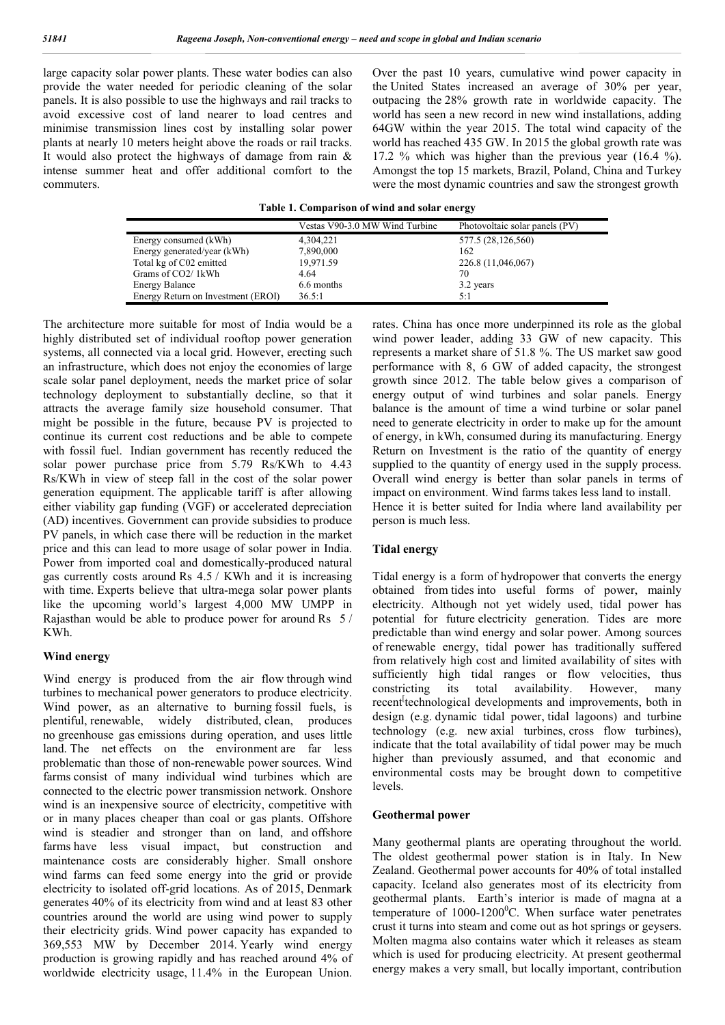large capacity solar power plants. These water bodies can also provide the water needed for periodic cleaning of the solar panels. It is also possible to use the highways and rail tracks to avoid excessive cost of land nearer to load centres and minimise transmission lines cost by installing solar power plants at nearly 10 meters height above the roads or rail tracks. It would also protect the highways of damage from rain  $\&$ intense summer heat and offer additional comfort to the commuters.

Over the past 10 years, cumulative wind power capacity in the United States increased an average of 30% per year, outpacing the 28% growth rate in worldwide capacity. The world has seen a new record in new wind installations, adding 64GW within the year 2015. The total wind capacity of the world has reached 435 GW. In 2015 the global growth rate was 17.2 % which was higher than the previous year (16.4 %). Amongst the top 15 markets, Brazil, Poland, China and Turkey were the most dynamic countries and saw the strongest growth

|                                    | Vestas V90-3.0 MW Wind Turbine | Photovoltaic solar panels (PV) |
|------------------------------------|--------------------------------|--------------------------------|
| Energy consumed (kWh)              | 4,304,221                      | 577.5 (28,126,560)             |
| Energy generated/year (kWh)        | 7,890,000                      | 162                            |
| Total kg of C02 emitted            | 19,971.59                      | 226.8 (11,046,067)             |
| Grams of CO2/1kWh                  | 4.64                           | 70                             |
| <b>Energy Balance</b>              | 6.6 months                     | 3.2 years                      |
| Energy Return on Investment (EROI) | 36.5:1                         | 5:1                            |

The architecture more suitable for most of India would be a highly distributed set of individual rooftop power generation systems, all connected via a local grid. However, erecting such an infrastructure, which does not enjoy the economies of large scale solar panel deployment, needs the market price of solar technology deployment to substantially decline, so that it attracts the average family size household consumer. That might be possible in the future, because PV is projected to continue its current cost reductions and be able to compete with fossil fuel. Indian government has recently reduced the solar power purchase price from 5.79 Rs/KWh to 4.43 Rs/KWh in view of steep fall in the cost of the solar power generation equipment. The applicable tariff is after allowing either viability gap funding (VGF) or accelerated depreciation (AD) incentives. Government can provide subsidies to produce PV panels, in which case there will be reduction in the market price and this can lead to more usage of solar power in India. Power from imported coal and domestically-produced natural gas currently costs around Rs 4.5 / KWh and it is increasing with time. Experts believe that ultra-mega solar power plants like the upcoming world's largest 4,000 MW UMPP in Rajasthan would be able to produce power for around Rs 5 / KWh.

#### **Wind energy**

Wind energy is produced from the air flow through wind turbines to mechanical power generators to produce electricity. Wind power, as an alternative to burning fossil fuels, is plentiful, renewable, widely distributed, clean, produces no greenhouse gas emissions during operation, and uses little land. The net effects on the environment are far less problematic than those of non-renewable power sources. Wind farms consist of many individual wind turbines which are connected to the electric power transmission network. Onshore wind is an inexpensive source of electricity, competitive with or in many places cheaper than coal or gas plants. Offshore wind is steadier and stronger than on land, and offshore farms have less visual impact, but construction and maintenance costs are considerably higher. Small onshore wind farms can feed some energy into the grid or provide electricity to isolated off-grid locations. As of 2015, Denmark generates 40% of its electricity from wind and at least 83 other countries around the world are using wind power to supply their electricity grids. Wind power capacity has expanded to 369,553 MW by December 2014. Yearly wind energy production is growing rapidly and has reached around 4% of worldwide electricity usage, 11.4% in the European Union.

rates. China has once more underpinned its role as the global wind power leader, adding 33 GW of new capacity. This represents a market share of 51.8 %. The US market saw good performance with 8, 6 GW of added capacity, the strongest growth since 2012. The table below gives a comparison of energy output of wind turbines and solar panels. Energy balance is the amount of time a wind turbine or solar panel need to generate electricity in order to make up for the amount of energy, in kWh, consumed during its manufacturing. Energy Return on Investment is the ratio of the quantity of energy supplied to the quantity of energy used in the supply process. Overall wind energy is better than solar panels in terms of impact on environment. Wind farms takes less land to install. Hence it is better suited for India where land availability per person is much less.

## **Tidal energy**

Tidal energy is a form of hydropower that converts the energy obtained from tides into useful forms of power, mainly electricity. Although not yet widely used, tidal power has potential for future electricity generation. Tides are more predictable than wind energy and solar power. Among sources of renewable energy, tidal power has traditionally suffered from relatively high cost and limited availability of sites with sufficiently high tidal ranges or flow velocities, thus constricting its total availability. However, many recent<sup>[</sup>technological developments and improvements, both in design (e.g. dynamic tidal power, tidal lagoons) and turbine technology (e.g. new axial turbines, cross flow turbines), indicate that the total availability of tidal power may be much higher than previously assumed, and that economic and environmental costs may be brought down to competitive levels.

#### **Geothermal power**

Many geothermal plants are operating throughout the world. The oldest geothermal power station is in Italy. In New Zealand. Geothermal power accounts for 40% of total installed capacity. Iceland also generates most of its electricity from geothermal plants. Earth's interior is made of magna at a temperature of 1000-1200<sup>0</sup>C. When surface water penetrates crust it turns into steam and come out as hot springs or geysers. Molten magma also contains water which it releases as steam which is used for producing electricity. At present geothermal energy makes a very small, but locally important, contribution